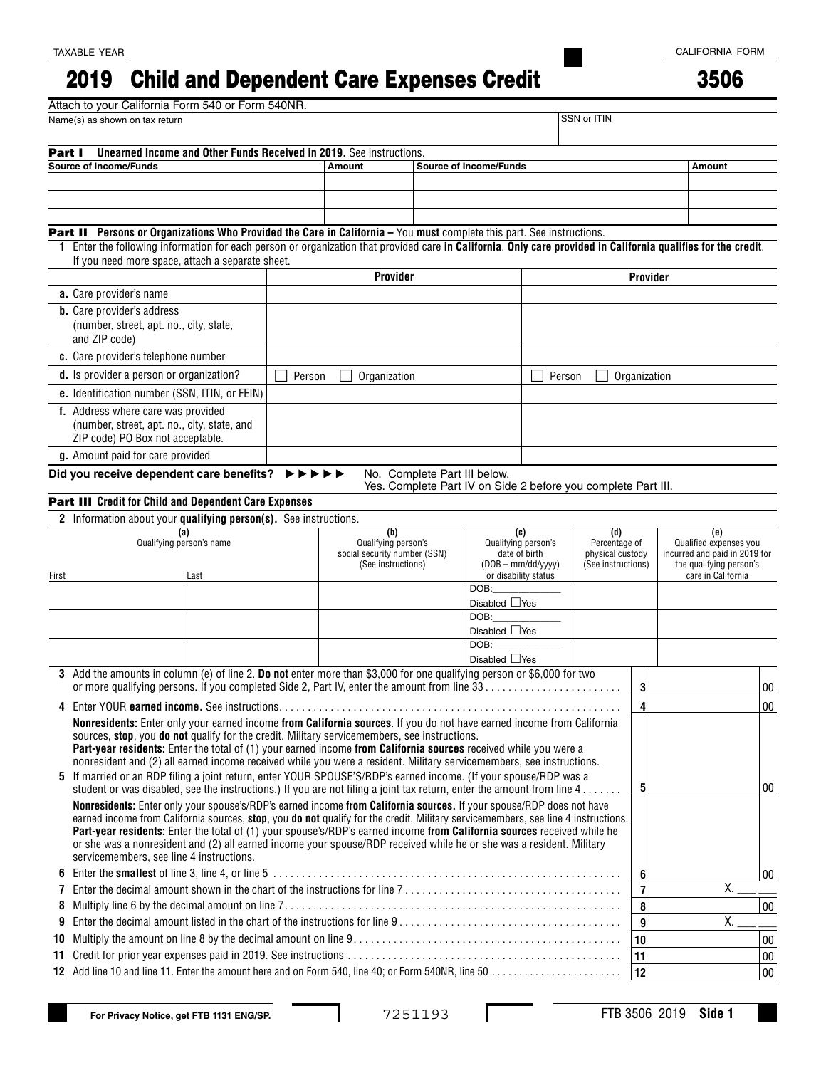## Child and Dependent Care Expenses Credit 3506 2019

TAXABLE YEAR

|                                                              | Attach to your California Form 540 or Form 540NR.                                                                                                                                                                                                         |                                                                                                   |                                                    |                            |                 |  |                                                                                |                                                    |             |    |                                                          |                               |        |
|--------------------------------------------------------------|-----------------------------------------------------------------------------------------------------------------------------------------------------------------------------------------------------------------------------------------------------------|---------------------------------------------------------------------------------------------------|----------------------------------------------------|----------------------------|-----------------|--|--------------------------------------------------------------------------------|----------------------------------------------------|-------------|----|----------------------------------------------------------|-------------------------------|--------|
|                                                              | Name(s) as shown on tax return                                                                                                                                                                                                                            |                                                                                                   |                                                    |                            |                 |  |                                                                                |                                                    | SSN or ITIN |    |                                                          |                               |        |
| Part I                                                       | <b>Unearned Income and Other Funds Received in 2019.</b> See instructions.                                                                                                                                                                                |                                                                                                   |                                                    |                            |                 |  |                                                                                |                                                    |             |    |                                                          |                               |        |
|                                                              | <b>Source of Income/Funds</b>                                                                                                                                                                                                                             |                                                                                                   |                                                    | Amount                     |                 |  | <b>Source of Income/Funds</b>                                                  |                                                    |             |    |                                                          | <b>Amount</b>                 |        |
|                                                              |                                                                                                                                                                                                                                                           |                                                                                                   |                                                    |                            |                 |  |                                                                                |                                                    |             |    |                                                          |                               |        |
|                                                              |                                                                                                                                                                                                                                                           |                                                                                                   |                                                    |                            |                 |  |                                                                                |                                                    |             |    |                                                          |                               |        |
|                                                              |                                                                                                                                                                                                                                                           |                                                                                                   |                                                    |                            |                 |  |                                                                                |                                                    |             |    |                                                          |                               |        |
|                                                              | <b>Part II</b> Persons or Organizations Who Provided the Care in California - You must complete this part. See instructions.                                                                                                                              |                                                                                                   |                                                    |                            |                 |  |                                                                                |                                                    |             |    |                                                          |                               |        |
| 1.                                                           | Enter the following information for each person or organization that provided care in California. Only care provided in California qualifies for the credit.                                                                                              |                                                                                                   |                                                    |                            |                 |  |                                                                                |                                                    |             |    |                                                          |                               |        |
|                                                              | If you need more space, attach a separate sheet.                                                                                                                                                                                                          |                                                                                                   |                                                    |                            |                 |  |                                                                                |                                                    |             |    |                                                          |                               |        |
|                                                              |                                                                                                                                                                                                                                                           |                                                                                                   |                                                    |                            | <b>Provider</b> |  |                                                                                |                                                    | Provider    |    |                                                          |                               |        |
| a. Care provider's name<br><b>b.</b> Care provider's address |                                                                                                                                                                                                                                                           |                                                                                                   |                                                    |                            |                 |  |                                                                                |                                                    |             |    |                                                          |                               |        |
|                                                              | (number, street, apt. no., city, state,                                                                                                                                                                                                                   |                                                                                                   |                                                    |                            |                 |  |                                                                                |                                                    |             |    |                                                          |                               |        |
|                                                              | and ZIP code)                                                                                                                                                                                                                                             |                                                                                                   |                                                    |                            |                 |  |                                                                                |                                                    |             |    |                                                          |                               |        |
|                                                              | c. Care provider's telephone number                                                                                                                                                                                                                       |                                                                                                   |                                                    |                            |                 |  |                                                                                |                                                    |             |    |                                                          |                               |        |
|                                                              | d. Is provider a person or organization?                                                                                                                                                                                                                  | Person<br>Person                                                                                  |                                                    |                            |                 |  |                                                                                |                                                    |             |    |                                                          |                               |        |
|                                                              | e. Identification number (SSN, ITIN, or FEIN)                                                                                                                                                                                                             |                                                                                                   | Organization                                       |                            |                 |  |                                                                                | Organization                                       |             |    |                                                          |                               |        |
|                                                              | f. Address where care was provided                                                                                                                                                                                                                        |                                                                                                   |                                                    |                            |                 |  |                                                                                |                                                    |             |    |                                                          |                               |        |
|                                                              | (number, street, apt. no., city, state, and                                                                                                                                                                                                               |                                                                                                   |                                                    |                            |                 |  |                                                                                |                                                    |             |    |                                                          |                               |        |
|                                                              | ZIP code) PO Box not acceptable.                                                                                                                                                                                                                          |                                                                                                   |                                                    |                            |                 |  |                                                                                |                                                    |             |    |                                                          |                               |        |
|                                                              | g. Amount paid for care provided                                                                                                                                                                                                                          |                                                                                                   |                                                    |                            |                 |  |                                                                                |                                                    |             |    |                                                          |                               |        |
|                                                              | Did you receive dependent care benefits?                                                                                                                                                                                                                  | $\blacktriangleright\blacktriangleright\blacktriangleright\blacktriangleright\blacktriangleright$ |                                                    |                            |                 |  | No. Complete Part III below.                                                   |                                                    |             |    |                                                          |                               |        |
|                                                              |                                                                                                                                                                                                                                                           |                                                                                                   |                                                    |                            |                 |  | Yes. Complete Part IV on Side 2 before you complete Part III.                  |                                                    |             |    |                                                          |                               |        |
|                                                              | <b>Part III</b> Credit for Child and Dependent Care Expenses                                                                                                                                                                                              |                                                                                                   |                                                    |                            |                 |  |                                                                                |                                                    |             |    |                                                          |                               |        |
|                                                              | 2 Information about your qualifying person(s). See instructions.                                                                                                                                                                                          |                                                                                                   |                                                    |                            |                 |  |                                                                                |                                                    |             |    |                                                          |                               |        |
|                                                              | (a)<br>Qualifying person's name                                                                                                                                                                                                                           |                                                                                                   |                                                    | (b)<br>Qualifying person's |                 |  |                                                                                | (d)<br>(c)<br>Qualifying person's<br>Percentage of |             |    |                                                          | (e)<br>Qualified expenses you |        |
|                                                              |                                                                                                                                                                                                                                                           |                                                                                                   | social security number (SSN)<br>(See instructions) |                            |                 |  | date of birth<br>physical custody<br>$(DOB - mm/dd/yyy)$<br>(See instructions) |                                                    |             |    | incurred and paid in 2019 for<br>the qualifying person's |                               |        |
| First                                                        | Last                                                                                                                                                                                                                                                      |                                                                                                   |                                                    |                            |                 |  | or disability status                                                           |                                                    |             |    |                                                          | care in California            |        |
|                                                              |                                                                                                                                                                                                                                                           |                                                                                                   |                                                    |                            |                 |  | DOB:                                                                           |                                                    |             |    |                                                          |                               |        |
|                                                              |                                                                                                                                                                                                                                                           |                                                                                                   |                                                    |                            |                 |  | Disabled $\Box$ Yes<br>DOB:                                                    |                                                    |             |    |                                                          |                               |        |
|                                                              |                                                                                                                                                                                                                                                           |                                                                                                   |                                                    |                            |                 |  | Disabled $\Box$ Yes                                                            |                                                    |             |    |                                                          |                               |        |
|                                                              |                                                                                                                                                                                                                                                           |                                                                                                   |                                                    |                            |                 |  | DOB:                                                                           |                                                    |             |    |                                                          |                               |        |
|                                                              |                                                                                                                                                                                                                                                           |                                                                                                   |                                                    |                            |                 |  | Disabled $\Box$ Yes                                                            |                                                    |             |    |                                                          |                               |        |
|                                                              | 3 Add the amounts in column (e) of line 2. Do not enter more than \$3,000 for one qualifying person or \$6,000 for two                                                                                                                                    |                                                                                                   |                                                    |                            |                 |  |                                                                                |                                                    |             |    |                                                          |                               |        |
|                                                              |                                                                                                                                                                                                                                                           |                                                                                                   |                                                    |                            |                 |  |                                                                                |                                                    |             | 3  |                                                          |                               | $00\,$ |
|                                                              |                                                                                                                                                                                                                                                           |                                                                                                   |                                                    |                            |                 |  |                                                                                |                                                    |             | 4  |                                                          |                               | $00\,$ |
|                                                              | Nonresidents: Enter only your earned income from California sources. If you do not have earned income from California<br>sources, stop, you do not qualify for the credit. Military servicemembers, see instructions.                                     |                                                                                                   |                                                    |                            |                 |  |                                                                                |                                                    |             |    |                                                          |                               |        |
|                                                              | Part-year residents: Enter the total of (1) your earned income from California sources received while you were a                                                                                                                                          |                                                                                                   |                                                    |                            |                 |  |                                                                                |                                                    |             |    |                                                          |                               |        |
|                                                              | nonresident and (2) all earned income received while you were a resident. Military servicemembers, see instructions.                                                                                                                                      |                                                                                                   |                                                    |                            |                 |  |                                                                                |                                                    |             |    |                                                          |                               |        |
|                                                              | 5 If married or an RDP filing a joint return, enter YOUR SPOUSE'S/RDP's earned income. (If your spouse/RDP was a                                                                                                                                          |                                                                                                   |                                                    |                            |                 |  |                                                                                |                                                    | 5           |    |                                                          | 00                            |        |
|                                                              | student or was disabled, see the instructions.) If you are not filing a joint tax return, enter the amount from line $4$                                                                                                                                  |                                                                                                   |                                                    |                            |                 |  |                                                                                |                                                    |             |    |                                                          |                               |        |
|                                                              | Nonresidents: Enter only your spouse's/RDP's earned income from California sources. If your spouse/RDP does not have<br>earned income from California sources, stop, you do not qualify for the credit. Military servicemembers, see line 4 instructions. |                                                                                                   |                                                    |                            |                 |  |                                                                                |                                                    |             |    |                                                          |                               |        |
|                                                              | Part-year residents: Enter the total of (1) your spouse's/RDP's earned income from California sources received while he                                                                                                                                   |                                                                                                   |                                                    |                            |                 |  |                                                                                |                                                    |             |    |                                                          |                               |        |
|                                                              | or she was a nonresident and (2) all earned income your spouse/RDP received while he or she was a resident. Military                                                                                                                                      |                                                                                                   |                                                    |                            |                 |  |                                                                                |                                                    |             |    |                                                          |                               |        |
|                                                              | servicemembers, see line 4 instructions.                                                                                                                                                                                                                  |                                                                                                   |                                                    |                            |                 |  |                                                                                |                                                    |             |    |                                                          |                               |        |
| 7                                                            |                                                                                                                                                                                                                                                           |                                                                                                   |                                                    |                            |                 |  |                                                                                | 6<br>$\overline{7}$                                |             | Х. | 00                                                       |                               |        |
| 8                                                            |                                                                                                                                                                                                                                                           |                                                                                                   |                                                    |                            |                 |  |                                                                                |                                                    | 8           |    |                                                          | $00\,$                        |        |
| 9                                                            |                                                                                                                                                                                                                                                           |                                                                                                   |                                                    |                            |                 |  |                                                                                |                                                    | 9           |    | Χ.                                                       |                               |        |
| 10                                                           |                                                                                                                                                                                                                                                           |                                                                                                   |                                                    |                            |                 |  |                                                                                |                                                    |             | 10 |                                                          |                               | $00\,$ |
| 11.                                                          |                                                                                                                                                                                                                                                           |                                                                                                   |                                                    |                            |                 |  |                                                                                |                                                    |             | 11 |                                                          |                               | $00\,$ |
|                                                              |                                                                                                                                                                                                                                                           |                                                                                                   |                                                    |                            |                 |  |                                                                                |                                                    |             | 12 |                                                          |                               | $00\,$ |
|                                                              |                                                                                                                                                                                                                                                           |                                                                                                   |                                                    |                            |                 |  |                                                                                |                                                    |             |    |                                                          |                               |        |